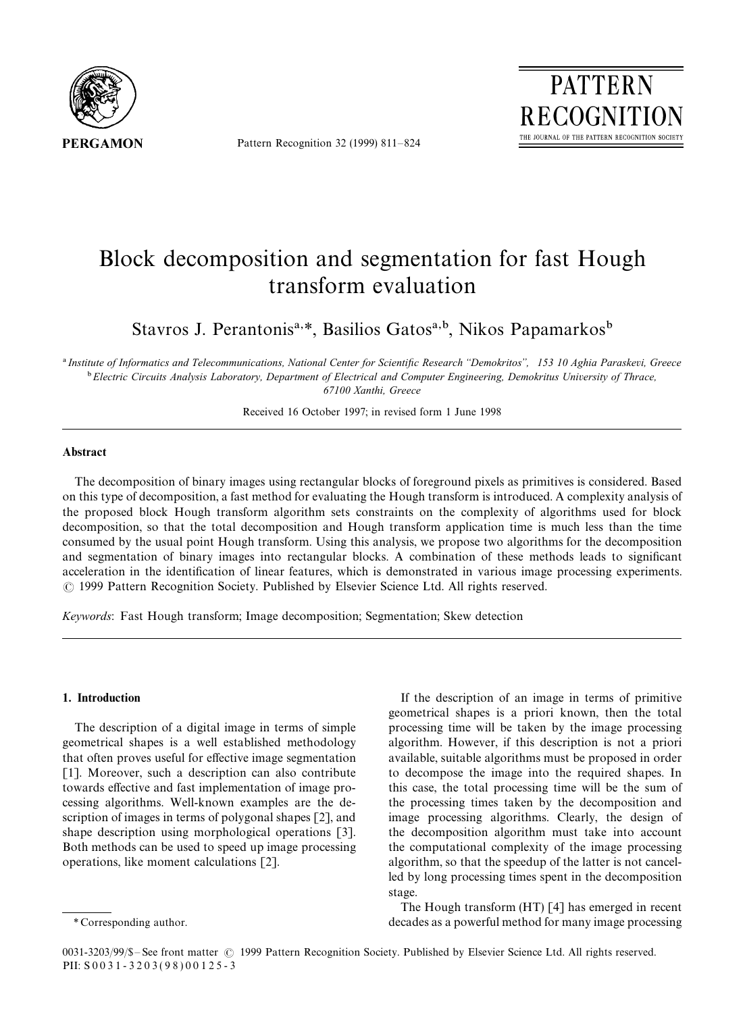

Pattern Recognition 32 (1999) 811*—*824



# Block decomposition and segmentation for fast Hough transform evaluation

Stavros J. Perantonis<sup>a,\*</sup>, Basilios Gatos<sup>a,b</sup>, Nikos Papamarkos<sup>b</sup>

! *Institute of Informatics and Telecommunications, National Center for Scientific Research* \*\**Demokritos*++*, 153 10 Aghia Paraskevi, Greece* " *Electric Circuits Analysis Laboratory, Department of Electrical and Computer Engineering, Demokritus University of Thrace, 67100 Xanthi, Greece*

Received 16 October 1997; in revised form 1 June 1998

## Abstract

The decomposition of binary images using rectangular blocks of foreground pixels as primitives is considered. Based on this type of decomposition, a fast method for evaluating the Hough transform is introduced. A complexity analysis of the proposed block Hough transform algorithm sets constraints on the complexity of algorithms used for block decomposition, so that the total decomposition and Hough transform application time is much less than the time consumed by the usual point Hough transform. Using this analysis, we propose two algorithms for the decomposition and segmentation of binary images into rectangular blocks. A combination of these methods leads to significant acceleration in the identification of linear features, which is demonstrated in various image processing experiments. ( 1999 Pattern Recognition Society. Published by Elsevier Science Ltd. All rights reserved.

*Keywords*: Fast Hough transform; Image decomposition; Segmentation; Skew detection

#### 1. Introduction

The description of a digital image in terms of simple geometrical shapes is a well established methodology that often proves useful for effective image segmentation [1]. Moreover, such a description can also contribute towards effective and fast implementation of image processing algorithms. Well-known examples are the description of images in terms of polygonal shapes [2], and shape description using morphological operations [3]. Both methods can be used to speed up image processing operations, like moment calculations [2].

The Hough transform (HT) [4] has emerged in recent decades as a powerful method for many image processing

If the description of an image in terms of primitive geometrical shapes is a priori known, then the total processing time will be taken by the image processing algorithm. However, if this description is not a priori available, suitable algorithms must be proposed in order to decompose the image into the required shapes. In this case, the total processing time will be the sum of the processing times taken by the decomposition and image processing algorithms. Clearly, the design of the decomposition algorithm must take into account the computational complexity of the image processing algorithm, so that the speedup of the latter is not cancelled by long processing times spent in the decomposition stage.

*<sup>\*</sup>* Corresponding author.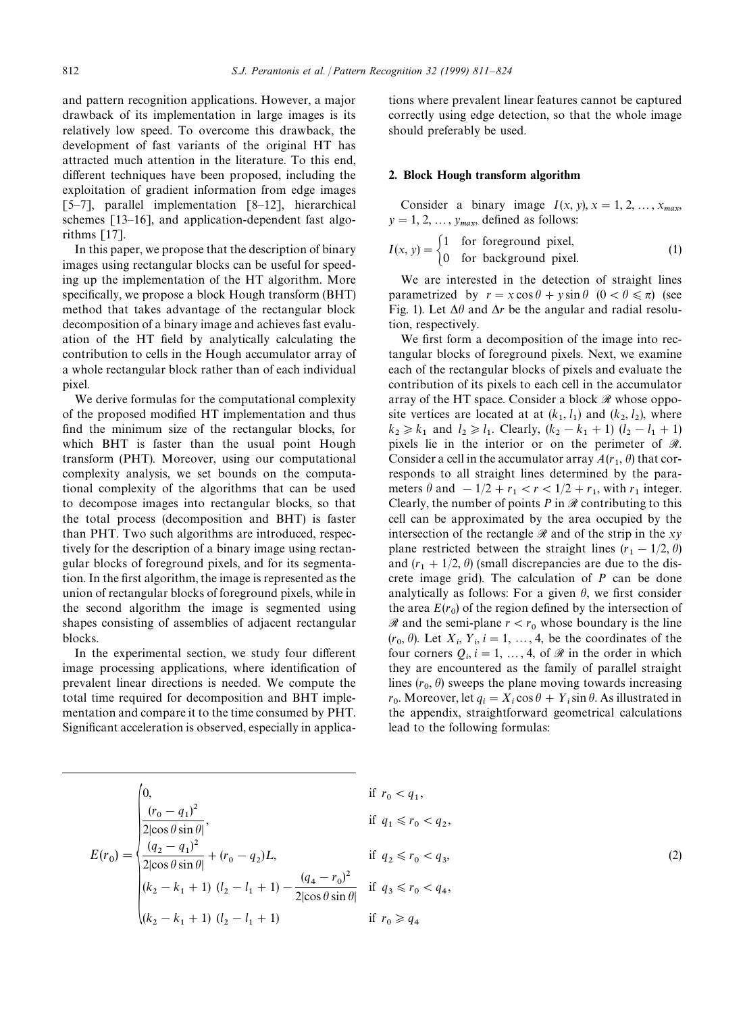and pattern recognition applications. However, a major drawback of its implementation in large images is its relatively low speed. To overcome this drawback, the development of fast variants of the original HT has attracted much attention in the literature. To this end, different techniques have been proposed, including the exploitation of gradient information from edge images [5*—*7], parallel implementation [8*—*12], hierarchical schemes [13–16], and application-dependent fast algorithms [17].

In this paper, we propose that the description of binary images using rectangular blocks can be useful for speeding up the implementation of the HT algorithm. More specifically, we propose a block Hough transform (BHT) method that takes advantage of the rectangular block decomposition of a binary image and achieves fast evaluation of the HT field by analytically calculating the contribution to cells in the Hough accumulator array of a whole rectangular block rather than of each individual pixel.

We derive formulas for the computational complexity of the proposed modified HT implementation and thus find the minimum size of the rectangular blocks, for which BHT is faster than the usual point Hough transform (PHT). Moreover, using our computational complexity analysis, we set bounds on the computational complexity of the algorithms that can be used to decompose images into rectangular blocks, so that the total process (decomposition and BHT) is faster than PHT. Two such algorithms are introduced, respectively for the description of a binary image using rectangular blocks of foreground pixels, and for its segmentation. In the first algorithm, the image is represented as the union of rectangular blocks of foreground pixels, while in the second algorithm the image is segmented using shapes consisting of assemblies of adjacent rectangular blocks.

In the experimental section, we study four different image processing applications, where identification of prevalent linear directions is needed. We compute the total time required for decomposition and BHT implementation and compare it to the time consumed by PHT. Significant acceleration is observed, especially in applications where prevalent linear features cannot be captured correctly using edge detection, so that the whole image should preferably be used.

#### 2. Block Hough transform algorithm

Consider a binary image  $I(x, y), x = 1, 2, \ldots, x_{max}$  $y = 1, 2, \dots, y_{max}$ , defined as follows:

$$
I(x, y) = \begin{cases} 1 & \text{for foreground pixel,} \\ 0 & \text{for background pixel.} \end{cases}
$$
 (1)

We are interested in the detection of straight lines parametrized by  $r = x \cos \theta + y \sin \theta$  ( $0 < \theta \le \pi$ ) (see Fig. 1). Let  $\Delta\theta$  and  $\Delta r$  be the angular and radial resolution, respectively.

We first form a decomposition of the image into rectangular blocks of foreground pixels. Next, we examine each of the rectangular blocks of pixels and evaluate the contribution of its pixels to each cell in the accumulator array of the HT space. Consider a block  $\mathcal{R}$  whose opposite vertices are located at at  $(k_1, l_1)$  and  $(k_2, l_2)$ , where  $k_2 \ge k_1$  and  $l_2 \ge l_1$ . Clearly,  $(k_2 - k_1 + 1)$   $(l_2 - l_1 + 1)$ pixels lie in the interior or on the perimeter of  $\mathcal{R}$ . Consider a cell in the accumulator array  $A(r_1, \theta)$  that corresponds to all straight lines determined by the parameters  $\theta$  and  $-1/2 + r_1 < r < 1/2 + r_1$ , with  $r_1$  integer. Clearly, the number of points  $P$  in  $\mathcal R$  contributing to this cell can be approximated by the area occupied by the intersection of the rectangle  $\Re$  and of the strip in the *xy* plane restricted between the straight lines  $(r_1 - 1/2, \theta)$ and  $(r_1 + 1/2, \theta)$  (small discrepancies are due to the discrete image grid). The calculation of *P* can be done analytically as follows: For a given  $\theta$ , we first consider the area  $E(r_0)$  of the region defined by the intersection of  $\Re$  and the semi-plane  $r < r_0$  whose boundary is the line  $(r_0, \theta)$ . Let  $X_i$ ,  $Y_i$ ,  $i = 1, \ldots, 4$ , be the coordinates of the four corners  $Q_i$ ,  $i = 1, \ldots, 4$ , of  $\mathcal{R}$  in the order in which they are encountered as the family of parallel straight lines  $(r_0, \theta)$  sweeps the plane moving towards increasing  $r_0$ . Moreover, let  $q_i = X_i \cos \theta + Y_i \sin \theta$ . As illustrated in the appendix, straightforward geometrical calculations lead to the following formulas:

$$
E(r_0) = \begin{cases} 0, & \text{if } r_0 < q_1, \\ \frac{(r_0 - q_1)^2}{2|\cos \theta \sin \theta|}, & \text{if } q_1 \leq r_0 < q_2, \\ \frac{(q_2 - q_1)^2}{2|\cos \theta \sin \theta|} + (r_0 - q_2)L, & \text{if } q_2 \leq r_0 < q_3, \\ \frac{(k_2 - k_1 + 1)(l_2 - l_1 + 1) - \frac{(q_4 - r_0)^2}{2|\cos \theta \sin \theta|}}{2|\cos \theta \sin \theta|} & \text{if } q_3 \leq r_0 < q_4, \\ (k_2 - k_1 + 1)(l_2 - l_1 + 1) & \text{if } r_0 \geq q_4 \end{cases} \tag{2}
$$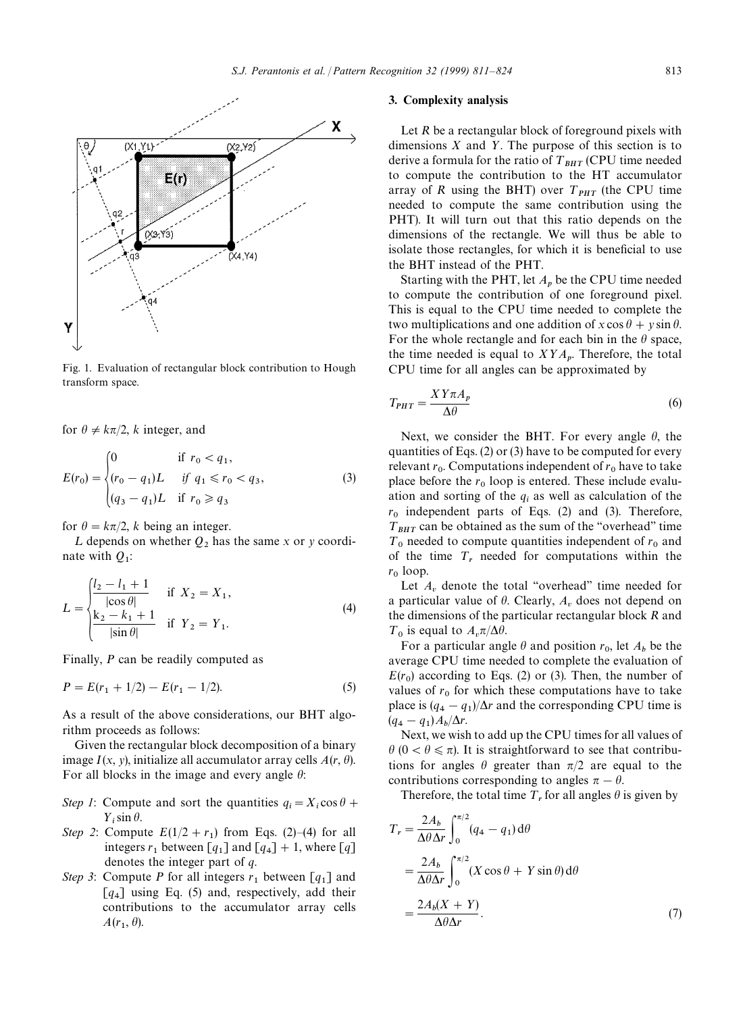

Fig. 1. Evaluation of rectangular block contribution to Hough transform space.

for  $\theta \neq k\pi/2$ , *k* integer, and

$$
E(r_0) = \begin{cases} 0 & \text{if } r_0 < q_1, \\ (r_0 - q_1)L & \text{if } q_1 \le r_0 < q_3, \\ (q_3 - q_1)L & \text{if } r_0 \ge q_3 \end{cases}
$$
 (3)

for  $\theta = k\pi/2$ , *k* being an integer.

L depends on whether  $Q_2$  has the same x or y coordinate with *<sup>Q</sup>*<sup>1</sup> :

$$
L = \begin{cases} \frac{l_2 - l_1 + 1}{|\cos \theta|} & \text{if } X_2 = X_1, \\ \frac{k_2 - k_1 + 1}{|\sin \theta|} & \text{if } Y_2 = Y_1. \end{cases}
$$
 (4)

Finally, *P* can be readily computed as

$$
P = E(r_1 + 1/2) - E(r_1 - 1/2). \tag{5}
$$

As a result of the above considerations, our BHT algorithm proceeds as follows:

Given the rectangular block decomposition of a binary image  $I(x, y)$ , initialize all accumulator array cells  $A(r, \theta)$ . For all blocks in the image and every angle  $\theta$ :

- *Step 1*: Compute and sort the quantities  $q_i = X_i \cos \theta +$  $Y_i$ sin  $\theta$ .
- *Step 2*: Compute  $E(1/2 + r_1)$  from Eqs. (2)–(4) for all integers  $r_1$  between [ $q_1$ ] and [ $q_4$ ] + 1, where [ $q$ ] denotes the integer part of *q*.
- *Step 3*: Compute *P* for all integers  $r_1$  between [ $q_1$ ] and  $[q_4]$  using Eq. (5) and, respectively, add their contributions to the accumulator array cells  $A(r_1, \theta)$ .

#### 3. Complexity analysis

Let *R* be a rectangular block of foreground pixels with dimensions  $X$  and  $Y$ . The purpose of this section is to derive a formula for the ratio of  $T_{BHT}$  (CPU time needed to compute the contribution to the HT accumulator array of *R* using the BHT) over  $T_{PHT}$  (the CPU time needed to compute the same contribution using the PHT). It will turn out that this ratio depends on the dimensions of the rectangle. We will thus be able to isolate those rectangles, for which it is beneficial to use the BHT instead of the PHT.

Starting with the PHT, let  $A_p$  be the CPU time needed to compute the contribution of one foreground pixel. This is equal to the CPU time needed to complete the two multiplications and one addition of  $x \cos \theta + y \sin \theta$ . For the whole rectangle and for each bin in the  $\theta$  space, the time needed is equal to  $XYA_p$ . Therefore, the total CPU time for all angles can be approximated by

$$
T_{PHT} = \frac{XY\pi A_p}{\Delta \theta} \tag{6}
$$

Next, we consider the BHT. For every angle  $\theta$ , the quantities of Eqs. (2) or (3) have to be computed for every relevant  $r_0$ . Computations independent of  $r_0$  have to take place before the  $r_0$  loop is entered. These include evaluation and sorting of the  $q_i$  as well as calculation of the  $r_0$  independent parts of Eqs. (2) and (3). Therefore,  $T_{BHT}$  can be obtained as the sum of the "overhead" time  $T_0$  needed to compute quantities independent of  $r_0$  and of the time  $T_r$  needed for computations within the  $r_0$  loop.

Let  $A_v$  denote the total "overhead" time needed for a particular value of  $\theta$ . Clearly,  $A_v$  does not depend on the dimensions of the particular rectangular block *R* and  $T_0$  is equal to  $A_v \pi / \Delta \theta$ .

For a particular angle  $\theta$  and position  $r_0$ , let  $A_b$  be the average CPU time needed to complete the evaluation of  $E(r_0)$  according to Eqs. (2) or (3). Then, the number of values of  $r_0$  for which these computations have to take place is  $(q_4 - q_1)/\Delta r$  and the corresponding CPU time is  $(q_4 - q_1) A_b/\Delta r.$ 

 Next, we wish to add up the CPU times for all values of  $\theta$  (0 <  $\theta \le \pi$ ). It is straightforward to see that contributions for angles  $\theta$  greater than  $\pi/2$  are equal to the contributions corresponding to angles  $\pi - \theta$ .

Therefore, the total time  $T_r$  for all angles  $\theta$  is given by

$$
T_r = \frac{2A_b}{\Delta\theta \Delta r} \int_0^{\pi/2} (q_4 - q_1) d\theta
$$
  
= 
$$
\frac{2A_b}{\Delta\theta \Delta r} \int_0^{\pi/2} (X \cos \theta + Y \sin \theta) d\theta
$$
  
= 
$$
\frac{2A_b(X+Y)}{\Delta\theta \Delta r}.
$$
 (7)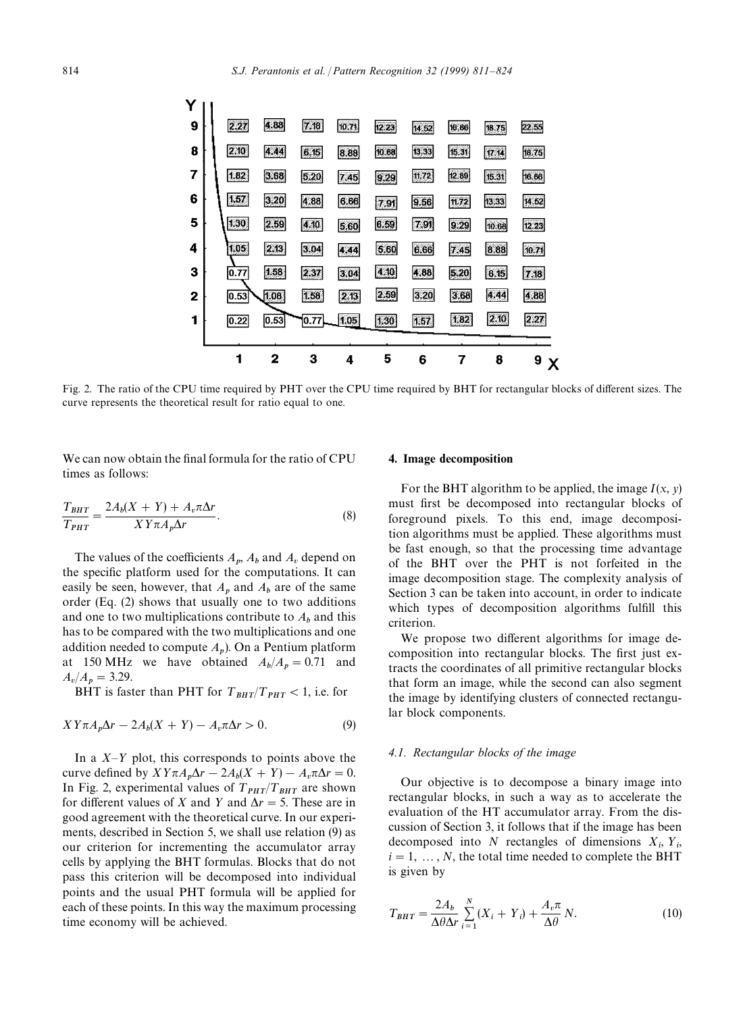|   |      | $\overline{2}$ | 3    | 4     | 5     | 6     | 7     | 8                 | $9 \times$ |
|---|------|----------------|------|-------|-------|-------|-------|-------------------|------------|
|   |      |                |      |       |       |       |       |                   |            |
| 1 | 0.22 | 0.53           | 0.77 | 1.05  | 1,30  | 1.57  | 1.82  | 2.10              | 2.27       |
| 2 | 0.53 | 1.06           | 1.58 | 2.13  | 2.59  | 3.20  | 3.68  | 4.44              | 4.88       |
| З | 0.77 | 1.58           | 2.37 | 3.04  | 4.10  | 4,88  | 5.20  | 6.15              | 7.18       |
| 4 | 1.05 | 2.13           | 3.04 | 4.44  | 5.60  | 6.66  | 7.45  | 8.88              | 10.71      |
| 5 | 1.30 | 2.59           | 4.10 | 5.60  | 6.59  | 7.91  | 9.29  | 10.68             | 12,23      |
| 6 | 1.57 | 3.20           | 4.88 | 6.66  | 7.91  | 9.56  | 11.72 | 13.33             | 14.52      |
| 7 | 1.82 | 3.68           | 5.20 | 7.45  | 9 29  | 11.72 | 12.89 | 15.31             | 16.86      |
| 8 | 2.10 | 4.44           | 6.15 | 8.88  | 10.68 | 13.33 | 15.31 | $\overline{u}$ 14 | 18.75      |
| 9 | 2.27 | 4.88           | 7.18 | 10.71 | 12.23 | 14.52 | 16.86 | 18.75             | 22.55      |
|   |      |                |      |       |       |       |       |                   |            |

Fig. 2. The ratio of the CPU time required by PHT over the CPU time required by BHT for rectangular blocks of different sizes. The curve represents the theoretical result for ratio equal to one.

We can now obtain the final formula for the ratio of CPU times as follows:

$$
\frac{T_{BHT}}{T_{PHT}} = \frac{2A_b(X+Y) + A_v\pi\Delta r}{XY\pi A_p\Delta r}.
$$
\n(8)

The values of the coefficients  $A_p$ ,  $A_b$  and  $A_v$  depend on the specific platform used for the computations. It can easily be seen, however, that  $A_p$  and  $A_b$  are of the same order (Eq. (2) shows that usually one to two additions and one to two multiplications contribute to  $A_b$  and this has to be compared with the two multiplications and one addition needed to compute *A*p). On a Pentium platform at 150 MHz we have obtained  $A_b/A_p = 0.71$  and  $A_v/A_p = 3.29.$ 

BHT is faster than PHT for  $T_{BHT}/T_{PHT}$  < 1, i.e. for

$$
XY\pi A_p \Delta r - 2A_b(X+Y) - A_v \pi \Delta r > 0.
$$
\n(9)

In a *X—*½ plot, this corresponds to points above the curve defined by  $XY\pi A_p\Delta r - 2A_b(X + Y) - A_v\pi\Delta r = 0.$ In Fig. 2, experimental values of  $T_{PHT}/T_{BHT}$  are shown for different values of *X* and *Y* and  $\Delta r = 5$ . These are in good agreement with the theoretical curve. In our experiments, described in Section 5, we shall use relation (9) as our criterion for incrementing the accumulator array cells by applying the BHT formulas. Blocks that do not pass this criterion will be decomposed into individual points and the usual PHT formula will be applied for each of these points. In this way the maximum processing time economy will be achieved.

### 4. Image decomposition

For the BHT algorithm to be applied, the image  $I(x, y)$ must first be decomposed into rectangular blocks of foreground pixels. To this end, image decomposition algorithms must be applied. These algorithms must be fast enough, so that the processing time advantage of the BHT over the PHT is not forfeited in the image decomposition stage. The complexity analysis of Section 3 can be taken into account, in order to indicate which types of decomposition algorithms fulfill this criterion.

We propose two different algorithms for image decomposition into rectangular blocks. The first just extracts the coordinates of all primitive rectangular blocks that form an image, while the second can also segment the image by identifying clusters of connected rectangular block components.

#### *4.1. Rectangular blocks of the image*

Our objective is to decompose a binary image into rectangular blocks, in such a way as to accelerate the evaluation of the HT accumulator array. From the discussion of Section 3, it follows that if the image has been decomposed into  $N$  rectangles of dimensions  $X_i$ ,  $Y_i$ ,  $i = 1, \ldots, N$ , the total time needed to complete the BHT is given by

$$
T_{BHT} = \frac{2A_b}{\Delta\theta\Delta r} \sum_{i=1}^{N} (X_i + Y_i) + \frac{A_v \pi}{\Delta\theta} N.
$$
 (10)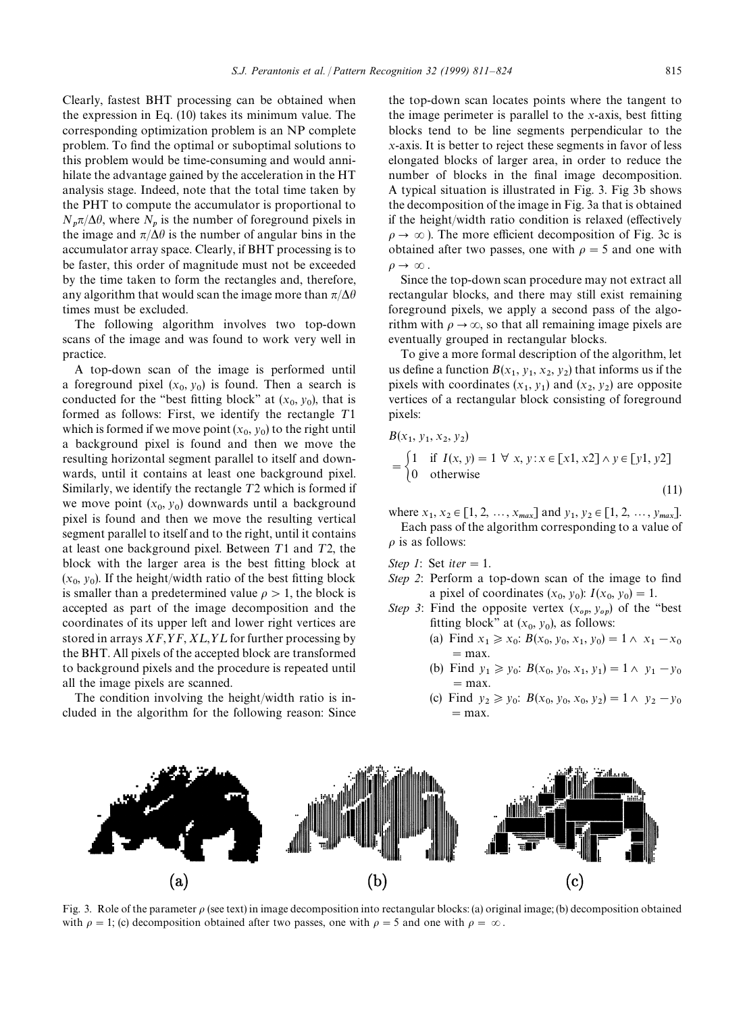Clearly, fastest BHT processing can be obtained when the expression in Eq. (10) takes its minimum value. The corresponding optimization problem is an NP complete problem. To find the optimal or suboptimal solutions to this problem would be time-consuming and would annihilate the advantage gained by the acceleration in the HT analysis stage. Indeed, note that the total time taken by the PHT to compute the accumulator is proportional to  $N_p \pi / \Delta \theta$ , where  $N_p$  is the number of foreground pixels in the image and  $\pi/\Delta\theta$  is the number of angular bins in the accumulator array space. Clearly, if BHT processing is to be faster, this order of magnitude must not be exceeded by the time taken to form the rectangles and, therefore, any algorithm that would scan the image more than  $\pi/\Delta\theta$ times must be excluded.

The following algorithm involves two top-down scans of the image and was found to work very well in practice.

A top-down scan of the image is performed until a foreground pixel  $(x_0, y_0)$  is found. Then a search is conducted for the "best fitting block" at  $(x_0, y_0)$ , that is formed as follows: First, we identify the rectangle  $T1$ which is formed if we move point  $(x_0, y_0)$  to the right until a background pixel is found and then we move the resulting horizontal segment parallel to itself and downwards, until it contains at least one background pixel. Similarly, we identify the rectangle  $T2$  which is formed if we move point  $(x_0, y_0)$  downwards until a background pixel is found and then we move the resulting vertical segment parallel to itself and to the right, until it contains at least one background pixel. Between  $T1$  and  $T2$ , the block with the larger area is the best fitting block at  $(x_0, y_0)$ . If the height/width ratio of the best fitting block is smaller than a predetermined value  $\rho > 1$ , the block is accepted as part of the image decomposition and the coordinates of its upper left and lower right vertices are stored in arrays  $XF, YF, XL, YL$  for further processing by the BHT. All pixels of the accepted block are transformed to background pixels and the procedure is repeated until all the image pixels are scanned.

The condition involving the height/width ratio is included in the algorithm for the following reason: Since the top-down scan locates points where the tangent to the image perimeter is parallel to the *x*-axis, best fitting blocks tend to be line segments perpendicular to the *x*-axis. It is better to reject these segments in favor of less elongated blocks of larger area, in order to reduce the number of blocks in the final image decomposition. A typical situation is illustrated in Fig. 3. Fig 3b shows the decomposition of the image in Fig. 3a that is obtained if the height/width ratio condition is relaxed (effectively  $\rho \rightarrow \infty$ ). The more efficient decomposition of Fig. 3c is obtained after two passes, one with  $\rho = 5$  and one with  $\rho \rightarrow \infty$ .

Since the top-down scan procedure may not extract all rectangular blocks, and there may still exist remaining foreground pixels, we apply a second pass of the algorithm with  $\rho \rightarrow \infty$ , so that all remaining image pixels are eventually grouped in rectangular blocks.

To give a more formal description of the algorithm, let us define a function  $B(x_1, y_1, x_2, y_2)$  that informs us if the pixels with coordinates  $(x_1, y_1)$  and  $(x_2, y_2)$  are opposite vertices of a rectangular block consisting of foreground pixels:

$$
B(x_1, y_1, x_2, y_2)
$$
  
=  $\begin{cases} 1 & \text{if } I(x, y) = 1 \ \forall \ x, y : x \in [x1, x2] \land y \in [y1, y2] \\ 0 & \text{otherwise} \end{cases}$  (11)

where  $x_1, x_2 \in [1, 2, ..., x_{max}]$  and  $y_1, y_2 \in [1, 2, ..., y_{max}]$ . Each pass of the algorithm corresponding to a value of  $\rho$  is as follows:

*Step 1*: Set *iter*  $= 1$ .

 $\mathbf{r}$ 

- *Step 2*: Perform a top-down scan of the image to find a pixel of coordinates  $(x_0, y_0)$ :  $I(x_0, y_0) = 1$ .
- *Step 3*: Find the opposite vertex  $(x_{op}, y_{op})$  of the "best" fitting block" at  $(x_0, y_0)$ , as follows:
	- (a) Find  $x_1 \ge x_0$ :  $B(x_0, y_0, x_1, y_0) = 1 \land x_1 x_0$ <br>= max.
	- (b) Find  $y_1 \ge y_0$ :  $B(x_0, y_0, x_1, y_1) = 1 \land y_1 y_0$ <br>= max.
	- (c) Find  $y_2 \ge y_0$ :  $B(x_0, y_0, x_0, y_2) = 1 \land y_2 y_0$ <br>= max.



Fig. 3. Role of the parameter  $\rho$  (see text) in image decomposition into rectangular blocks: (a) original image; (b) decomposition obtained with  $\rho = 1$ ; (c) decomposition obtained after two passes, one with  $\rho = 5$  and one with  $\rho = \infty$ .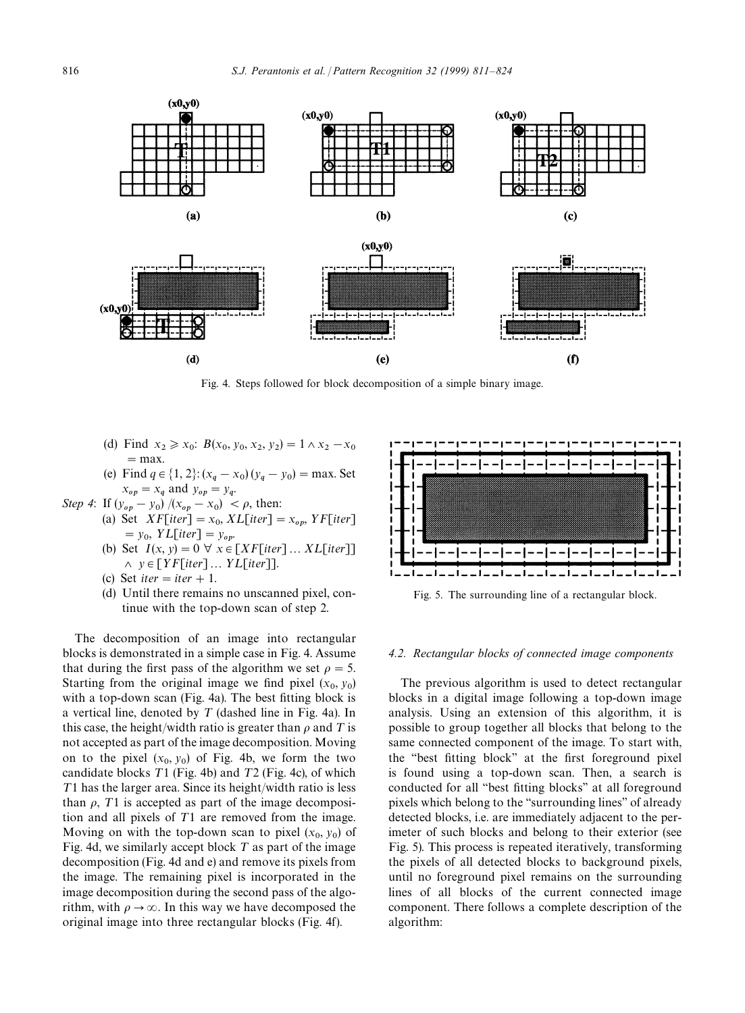

Fig. 4. Steps followed for block decomposition of a simple binary image.

- (d) Find  $x_2 \ge x_0$ :  $B(x_0, y_0, x_2, y_2) = 1 \wedge x_2 x_0$ <br>= max.
- (e) Find  $q \in \{1, 2\}$ :  $(x_q x_0)(y_q y_0) = \max$ . Set  $x_{op} = x_q$  and  $y_{op} = y_q$ .
- *Step 4*: If  $(y_{op} y_0) / (x_{op} x_0) < \rho$ , then:
	- (a) Set  $XF[iter] = x_0, XL[iter] = x_{op}$ ,  $YF[iter]$  $y_0, YL[iter] = y_{op}.$
	- (b) Set  $I(x, y) = 0 \ \forall \ x \in [XF[iter] \dots XL[iter]]$  $\land y \in [YF[iter] \dots YL[iter]].$
	- (c) Set *iter*  $=$  *iter*  $+1$ .
	- (d) Until there remains no unscanned pixel, continue with the top-down scan of step 2.

The decomposition of an image into rectangular blocks is demonstrated in a simple case in Fig. 4. Assume that during the first pass of the algorithm we set  $\rho = 5$ . Starting from the original image we find pixel  $(x_0, y_0)$ with a top-down scan (Fig. 4a). The best fitting block is a vertical line, denoted by  $T$  (dashed line in Fig. 4a). In this case, the height/width ratio is greater than  $\rho$  and T is not accepted as part of the image decomposition. Moving on to the pixel  $(x_0, y_0)$  of Fig. 4b, we form the two candidate blocks  $T1$  (Fig. 4b) and  $T2$  (Fig. 4c), of which T1 has the larger area. Since its height/width ratio is less than  $\rho$ , T1 is accepted as part of the image decomposition and all pixels of  $T1$  are removed from the image. Moving on with the top-down scan to pixel  $(x_0, y_0)$  of Fig. 4d, we similarly accept block  $T$  as part of the image decomposition (Fig. 4d and e) and remove its pixels from the image. The remaining pixel is incorporated in the image decomposition during the second pass of the algorithm, with  $\rho \rightarrow \infty$ . In this way we have decomposed the original image into three rectangular blocks (Fig. 4f).



Fig. 5. The surrounding line of a rectangular block.

#### *4.2. Rectangular blocks of connected image components*

The previous algorithm is used to detect rectangular blocks in a digital image following a top-down image analysis. Using an extension of this algorithm, it is possible to group together all blocks that belong to the same connected component of the image. To start with, the ''best fitting block'' at the first foreground pixel is found using a top-down scan. Then, a search is conducted for all ''best fitting blocks'' at all foreground pixels which belong to the ''surrounding lines'' of already detected blocks, i.e. are immediately adjacent to the perimeter of such blocks and belong to their exterior (see Fig. 5). This process is repeated iteratively, transforming the pixels of all detected blocks to background pixels, until no foreground pixel remains on the surrounding lines of all blocks of the current connected image component. There follows a complete description of the algorithm: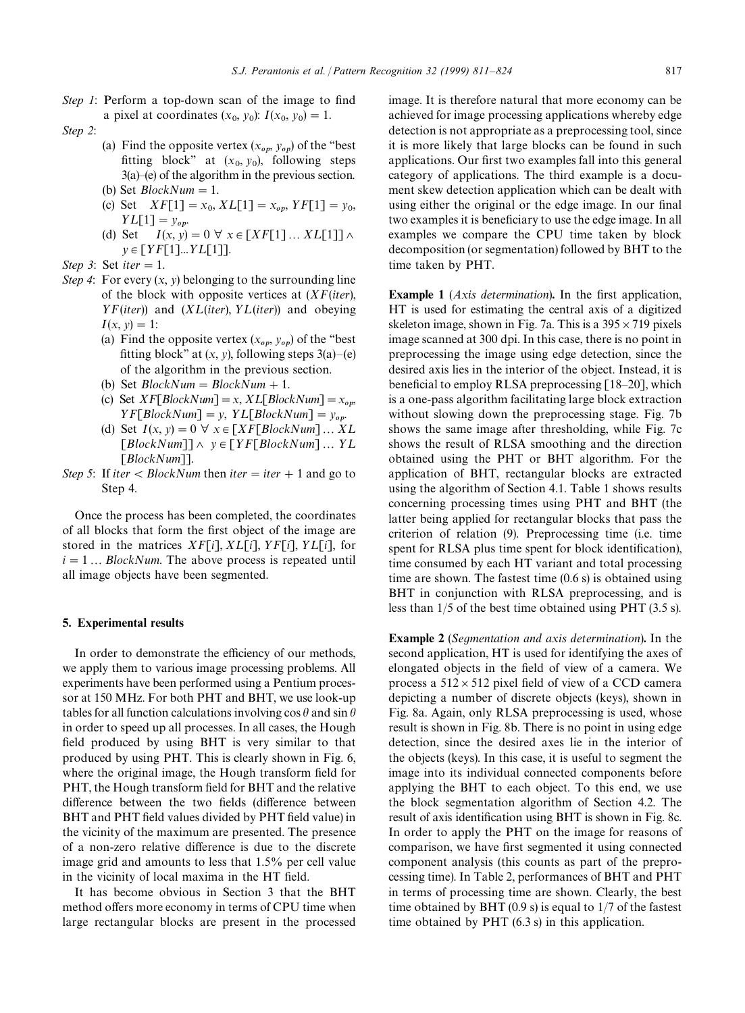*Step 1*: Perform a top-down scan of the image to find a pixel at coordinates  $(x_0, y_0)$ :  $I(x_0, y_0) = 1$ .

#### *Step 2*:

- (a) Find the opposite vertex  $(x_{op}, y_{op})$  of the "best" fitting block" at  $(x_0, y_0)$ , following steps 3(a)*—*(e) of the algorithm in the previous section. (b) Set  $BlockNum = 1$ .
- (c) Set  $XF[1] = x_0, XL[1] = x_{op}, YF[1] = y_0,$  $YL[1] = y_{op}.$
- (d) Set  $I(x, y) = 0 \ \forall \ x \in [XF[1] \dots XL[1]] \land$  $y \in [YF[1]...YL[1]].$

*Step 3*: Set *iter*  $= 1$ .

- *Step 4*: For every  $(x, y)$  belonging to the surrounding line of the block with opposite vertices at (*XF*(*iter*),  $YF(iter)$ ) and  $(XL(iter), YL(iter))$  and obeying  $I(x, y) = 1$ :
	- (a) Find the opposite vertex  $(x_{op}, y_{op})$  of the "best" fitting block" at  $(x, y)$ , following steps  $3(a)$ –(e) of the algorithm in the previous section.
	- (b) Set  $BlockNum = BlockNum + 1$ .
	- (c) Set  $XF[BlockNum] = x, XL[BlockNum] = x_{op}$  $YF[BlockNum] = y, YL[BlockNum] = y_{op}.$
	- (d) Set  $I(x, y) = 0 \ \forall \ x \in [XF[BlockNum] \dots XL]$  $\lceil BlockNum \rceil \wedge \nu \in \lceil YF \lceil BlockNum \rceil \dots YL$ [*BlockNum*]].
- *Step 5*: If *iter*  $\lt$  *BlockNum* then *iter*  $=$  *iter*  $+ 1$  and go to Step 4.

Once the process has been completed, the coordinates of all blocks that form the first object of the image are stored in the matrices  $XF[i], XL[i], YF[i], YL[i],$  for  $i = 1...$  *BlockNum*. The above process is repeated until all image objects have been segmented.

#### 5. Experimental results

In order to demonstrate the efficiency of our methods, we apply them to various image processing problems. All experiments have been performed using a Pentium processor at 150 MHz. For both PHT and BHT, we use look-up tables for all function calculations involving  $\cos \theta$  and  $\sin \theta$ in order to speed up all processes. In all cases, the Hough field produced by using BHT is very similar to that produced by using PHT. This is clearly shown in Fig. 6, where the original image, the Hough transform field for PHT, the Hough transform field for BHT and the relative difference between the two fields (difference between BHT and PHT field values divided by PHT field value) in the vicinity of the maximum are presented. The presence of a non-zero relative difference is due to the discrete image grid and amounts to less that 1.5% per cell value in the vicinity of local maxima in the HT field.

It has become obvious in Section 3 that the BHT method offers more economy in terms of CPU time when large rectangular blocks are present in the processed image. It is therefore natural that more economy can be achieved for image processing applications whereby edge detection is not appropriate as a preprocessing tool, since it is more likely that large blocks can be found in such applications. Our first two examples fall into this general category of applications. The third example is a document skew detection application which can be dealt with using either the original or the edge image. In our final two examples it is beneficiary to use the edge image. In all examples we compare the CPU time taken by block decomposition (or segmentation) followed by BHT to the time taken by PHT.

Example 1 (*Axis determination*). In the first application, HT is used for estimating the central axis of a digitized skeleton image, shown in Fig. 7a. This is a  $395 \times 719$  pixels image scanned at 300 dpi. In this case, there is no point in preprocessing the image using edge detection, since the desired axis lies in the interior of the object. Instead, it is beneficial to employ RLSA preprocessing [18*—*20], which is a one-pass algorithm facilitating large block extraction without slowing down the preprocessing stage. Fig. 7b shows the same image after thresholding, while Fig. 7c shows the result of RLSA smoothing and the direction obtained using the PHT or BHT algorithm. For the application of BHT, rectangular blocks are extracted using the algorithm of Section 4.1. Table 1 shows results concerning processing times using PHT and BHT (the latter being applied for rectangular blocks that pass the criterion of relation (9). Preprocessing time (i.e. time spent for RLSA plus time spent for block identification), time consumed by each HT variant and total processing time are shown. The fastest time (0.6 s) is obtained using BHT in conjunction with RLSA preprocessing, and is less than 1/5 of the best time obtained using PHT (3.5 s).

Example 2 (*Segmentation and axis determination*). In the second application, HT is used for identifying the axes of elongated objects in the field of view of a camera. We process a  $512 \times 512$  pixel field of view of a CCD camera depicting a number of discrete objects (keys), shown in Fig. 8a. Again, only RLSA preprocessing is used, whose result is shown in Fig. 8b. There is no point in using edge detection, since the desired axes lie in the interior of the objects (keys). In this case, it is useful to segment the image into its individual connected components before applying the BHT to each object. To this end, we use the block segmentation algorithm of Section 4.2. The result of axis identification using BHT is shown in Fig. 8c. In order to apply the PHT on the image for reasons of comparison, we have first segmented it using connected component analysis (this counts as part of the preprocessing time). In Table 2, performances of BHT and PHT in terms of processing time are shown. Clearly, the best time obtained by BHT (0.9 s) is equal to 1/7 of the fastest time obtained by PHT (6.3 s) in this application.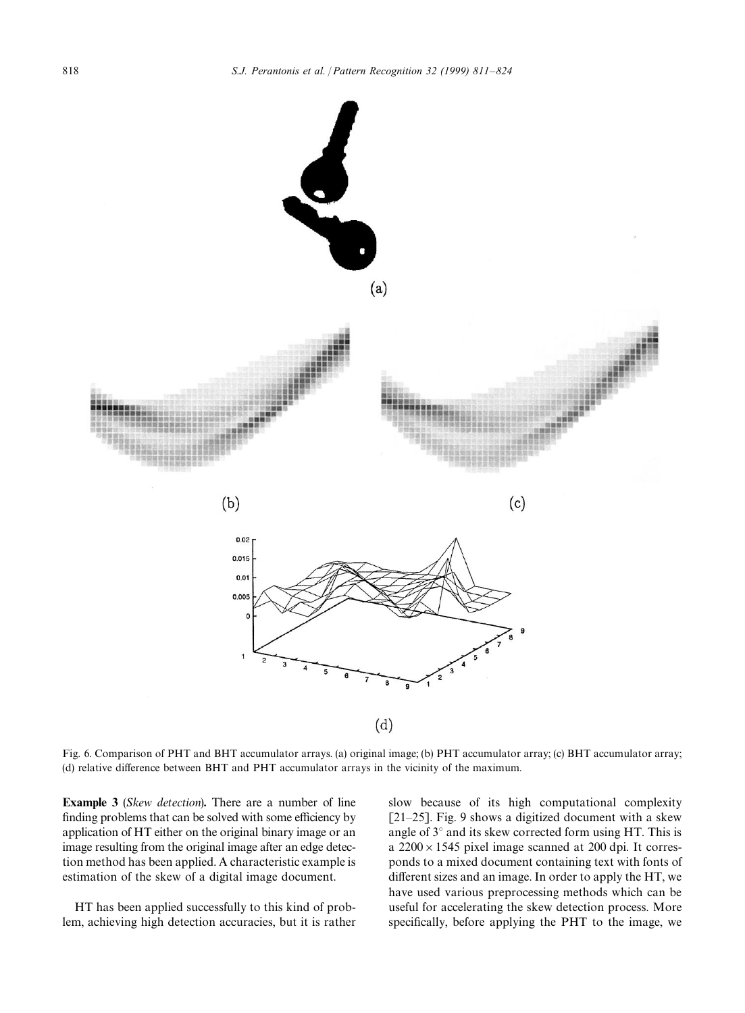

Fig. 6. Comparison of PHT and BHT accumulator arrays. (a) original image; (b) PHT accumulator array; (c) BHT accumulator array; (d) relative difference between BHT and PHT accumulator arrays in the vicinity of the maximum.

Example 3 (*Skew detection*). There are a number of line finding problems that can be solved with some efficiency by application of HT either on the original binary image or an image resulting from the original image after an edge detection method has been applied. A characteristic example is estimation of the skew of a digital image document.

HT has been applied successfully to this kind of problem, achieving high detection accuracies, but it is rather slow because of its high computational complexity [21*—*25]. Fig. 9 shows a digitized document with a skew angle of 3*°* and its skew corrected form using HT. This is a  $2200 \times 1545$  pixel image scanned at 200 dpi. It corresponds to a mixed document containing text with fonts of different sizes and an image. In order to apply the HT, we have used various preprocessing methods which can be useful for accelerating the skew detection process. More specifically, before applying the PHT to the image, we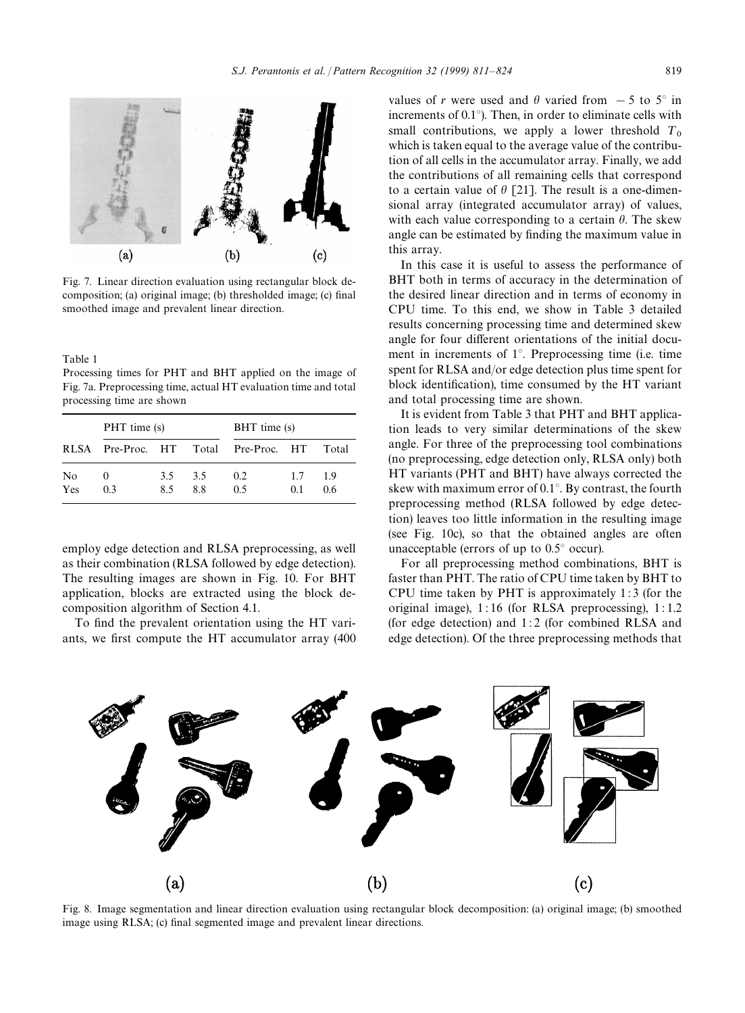

Fig. 7. Linear direction evaluation using rectangular block decomposition; (a) original image; (b) thresholded image; (c) final smoothed image and prevalent linear direction.

Table 1

Processing times for PHT and BHT applied on the image of Fig. 7a. Preprocessing time, actual HT evaluation time and total processing time are shown

|           | PHT time (s)      |            | BHT time (s) |                    |            |          |  |
|-----------|-------------------|------------|--------------|--------------------|------------|----------|--|
|           | RLSA Pre-Proc. HT |            |              | Total Pre-Proc. HT |            | Total    |  |
| No<br>Yes | $^{(1)}$<br>0.3   | 3.5<br>8.5 | 3.5<br>88    | 0.2<br>0.5         | 1.7<br>0.1 | 19<br>06 |  |

employ edge detection and RLSA preprocessing, as well as their combination (RLSA followed by edge detection). The resulting images are shown in Fig. 10. For BHT application, blocks are extracted using the block decomposition algorithm of Section 4.1.

To find the prevalent orientation using the HT variants, we first compute the HT accumulator array (400 values of *r* were used and  $\theta$  varied from  $-5$  to  $5^\circ$  in increments of 0.1*°*). Then, in order to eliminate cells with small contributions, we apply a lower threshold  $T_0$  which is taken equal to the average value of the contribution of all cells in the accumulator array. Finally, we add the contributions of all remaining cells that correspond to a certain value of  $\theta$  [21]. The result is a one-dimensional array (integrated accumulator array) of values, with each value corresponding to a certain  $\theta$ . The skew angle can be estimated by finding the maximum value in this array.

In this case it is useful to assess the performance of BHT both in terms of accuracy in the determination of the desired linear direction and in terms of economy in CPU time. To this end, we show in Table 3 detailed results concerning processing time and determined skew angle for four different orientations of the initial document in increments of 1*°*. Preprocessing time (i.e. time spent for RLSA and/or edge detection plus time spent for block identification), time consumed by the HT variant and total processing time are shown.

It is evident from Table 3 that PHT and BHT application leads to very similar determinations of the skew angle. For three of the preprocessing tool combinations (no preprocessing, edge detection only, RLSA only) both HT variants (PHT and BHT) have always corrected the skew with maximum error of 0.1*°*. By contrast, the fourth preprocessing method (RLSA followed by edge detection) leaves too little information in the resulting image (see Fig. 10c), so that the obtained angles are often unacceptable (errors of up to 0.5*°* occur).

For all preprocessing method combinations, BHT is faster than PHT. The ratio of CPU time taken by BHT to CPU time taken by PHT is approximately 1 : 3 (for the original image), 1 : 16 (for RLSA preprocessing), 1 : 1.2 (for edge detection) and 1 : 2 (for combined RLSA and edge detection). Of the three preprocessing methods that



Fig. 8. Image segmentation and linear direction evaluation using rectangular block decomposition: (a) original image; (b) smoothed image using RLSA; (c) final segmented image and prevalent linear directions.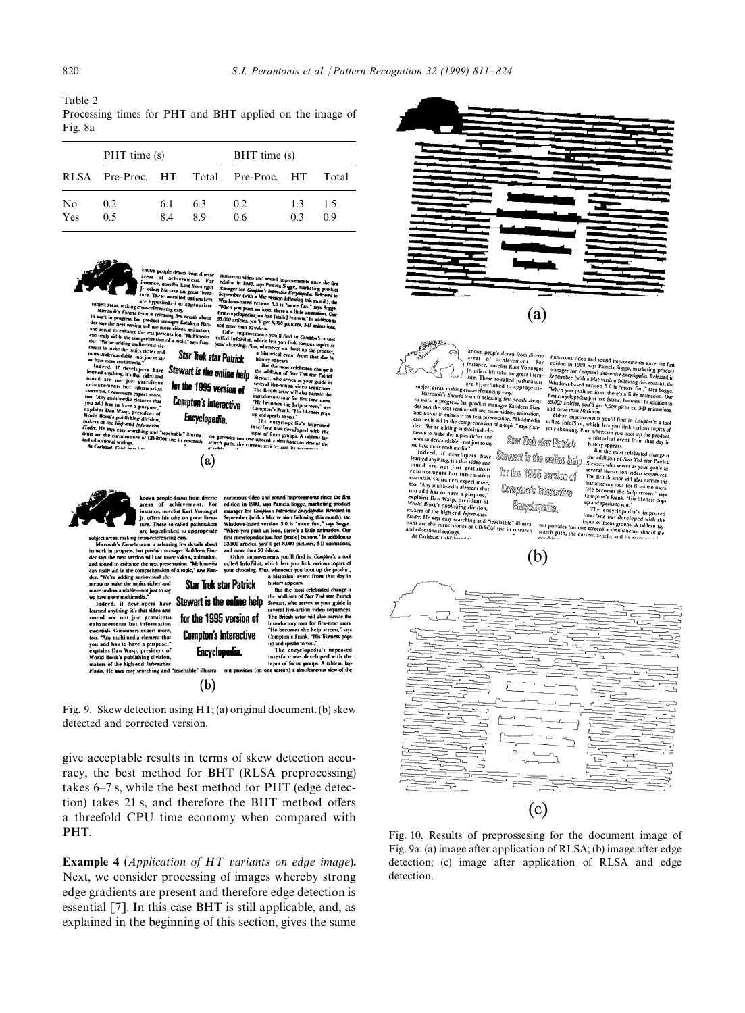Table 2

Processing times for PHT and BHT applied on the image of Fig. 8a

|           | PHT time (s)      |           |          | BHT time (s)       |           |           |  |
|-----------|-------------------|-----------|----------|--------------------|-----------|-----------|--|
|           | RLSA Pre-Proc. HT |           |          | Total Pre-Proc. HT |           | Total     |  |
| No<br>Yes | 0.2<br>0.5        | 6.1<br>84 | 63<br>89 | 0.2<br>0.6         | 1.3<br>03 | 1.5<br>09 |  |



achievement. For<br>velist Kurt Vounegut<br>take on great literature. These so-called pathin<br>are hyperlinked to approp rom-referencing easy<br>cam is releasing from The *Encarta* team is releasing from<br>progress, but product manager<br>and the resion will use more video<br>to enhance the text presentation 9.<br>W details about<br>C» animation,

ore videos, anima<br>entation, "Multin<br>of a topic," says

der says all properties have the product may be a structure of the constraints and sound a PER vector in the computer section of the computer of the computer of the computer of the computer of the computer of the computer

' cornerstones of<br>ral settings.<br>el : Caté bass LC

**Bumerous** vi<br>edition in 19<br>Ranager for video and sound<br>1989, says Pamel,<br>in Complex's Internal<br>(with a Mac version  $3.0$  is  $\gamma_{\rm max}$ AM Kilowing this m<br>**Mark Thore fun," sa there's a little anima**<br>[Matic] buttora," In a<br>h000 pictures, A.O. m When you pu When you pu<br>first cucycloped<br>53.000 articles, -ycropedias just had [static] britterin."<br>articles, you'll get 8,000 pictures, 3.<br>re than 50 videos.

somow articles, you'll get 8,000 pic.cures, 5.<br>
other improvements you'll find in Consulted Information would find in Consulted Information which here you link variables<br>
your choosing. Plus, whenever you boot up<br>
your cho Star Trek star Patrick

appears.<br>the most celebrate<br>Rilon of Star Tree Stewart is the online help who serves as your guide in for the 1995 version of in actor will all **Containing the contract of the contract of the contract of the contract of the contract of the contract of the contract of the contract of the contract of the contract of the contract of the contract of the contract of t Compton's Interactive** Encyclopedia.



known people drawn from diverse<br>areas of achievement. For<br>instance, novelist Kurt Vonnegut<br>Jr. offers his take on great litera-<br>ture. These so-called pathmakers ture. These so-called pathmakers<br>are hyperlinked to appropriate

 $(a)$ 

are hyperlinked to appropriate<br>bject areas, making cross-referencing easy.<br>Microsoft's *Encurie* team is releasing few details about<br>work in progress, but product manager Kathleen Fian-<br>r asy the next version will use more nce the text presentation. **Multimedia** nd to enha and some uncertainties to the comprehension of a topic," says Fian-<br>can really aid in the comprehension of a topic," says Fian-<br>ments to make the topics richer and<br>more understandable--not just to say<br>more understandable--

Stewart is the online help

more understandable-inapply<br>as to say the more multimecial. Indeed, if developers have<br>learned any<br>indeed, if developers have kenned any indeed and in the international<br>scatter and are not just gratuitous to see sections.

makers or the nigh-end *information*<br>Finder. He says casy scarching and "teachal

 $(b)$ 

for the 1995 version of

**Compton's Interactive** 

Encyclopedia.

numerous video and sound improvements since the<br>edition in 1989, says Pamela Sogge, marketing prod<br>manager for *Camplon's Interactive Encyclopodia*. Refease<br>September (with a Maz version following this month),<br>Windows-base When w ni m an icon, there's a little as first encyc<br>53,000 art 53,000 articles, you'll<br>and more than 50 vide 'Il get 8,000 pictures, 3-D : 50 videos.<br>
Sovements you'll find in Compton's<br>
st, which lets you link various to<br>
Plus, whenever you boot up the pr Other impre<br>called infoPile is topics o

your choosing. historical event fro **Star Trek star Patrick** history appears the most celebrated change is But

the addition of *Star Tre*k star Pa Stewart, who serves as your guide in<br>several live-action video sequences. The British actor will also narrate the The British scior will also narrate the<br>introductory tour for first-ince users.<br>The Seconds of the Second Space Tank, This likeness pops<br>of proparties to you.<br>The encyclopedia's improved<br>interface was developed with the fi

interface was developed with<br>input of focus groups. A table:<br>one screen) a simultaneous view

Fig. 9. Skew detection using HT; (a) original document. (b) skew detected and corrected version.

give acceptable results in terms of skew detection accuracy, the best method for BHT (RLSA preprocessing) takes 6*—*7 s, while the best method for PHT (edge detection) takes 21 s, and therefore the BHT method offers a threefold CPU time economy when compared with PHT.

**Example 4** (*Application of HT variants on edge image*). Next, we consider processing of images whereby strong edge gradients are present and therefore edge detection is essential [7]. In this case BHT is still applicable, and, as explained in the beginning of this section, gives the same



Fig. 10. Results of preprossesing for the document image of Fig. 9a: (a) image after application of RLSA; (b) image after edge detection; (c) image after application of RLSA and edge

detection.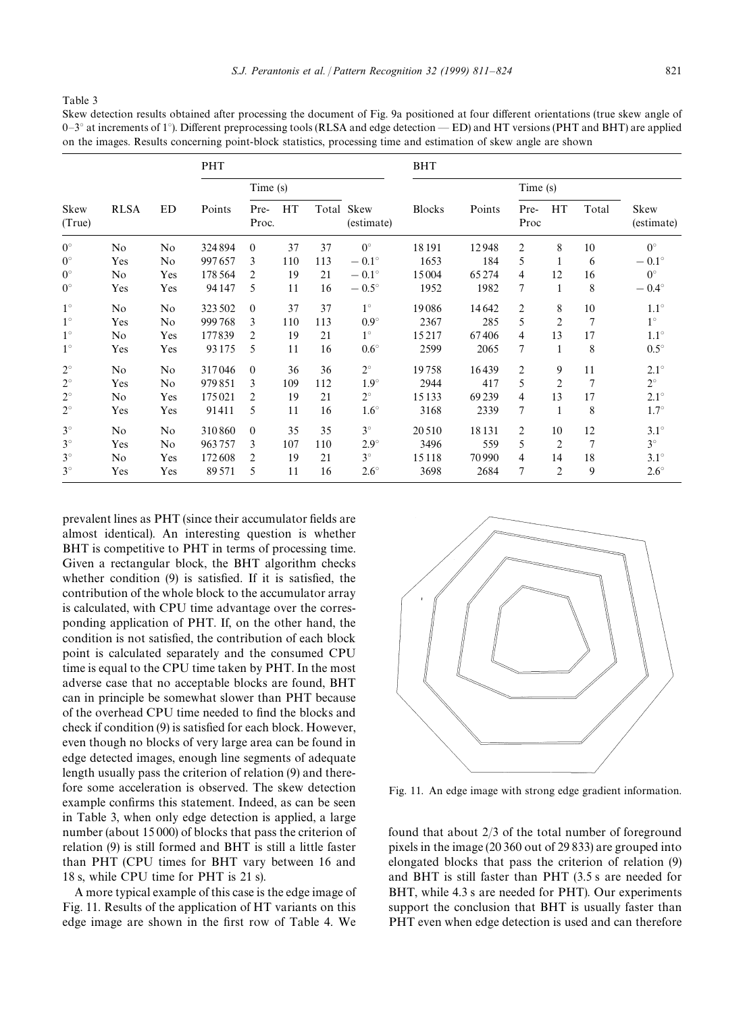Table 3

Skew detection results obtained after processing the document of Fig. 9a positioned at four different orientations (true skew angle of 0*—*3*°* at increments of 1*°*). Different preprocessing tools (RLSA and edge detection — ED) and HT versions (PHT and BHT) are applied on the images. Results concerning point-block statistics, processing time and estimation of skew angle are shown

|                | <b>RLSA</b> | ED  | <b>PHT</b> |                |     |     | <b>BHT</b>               |               |          |                |                |                |                    |
|----------------|-------------|-----|------------|----------------|-----|-----|--------------------------|---------------|----------|----------------|----------------|----------------|--------------------|
| Skew<br>(True) |             |     | Points     | Time(s)        |     |     |                          |               | Time (s) |                |                |                |                    |
|                |             |     |            | Pre-<br>Proc.  | HT  |     | Total Skew<br>(estimate) | <b>Blocks</b> | Points   | Pre-<br>Proc   | HT             | Total          | Skew<br>(estimate) |
| $0^{\circ}$    | No          | No  | 324894     | $\Omega$       | 37  | 37  | $0^{\circ}$              | 18191         | 12948    | 2              | 8              | 10             | $0^{\circ}$        |
| $0^{\circ}$    | Yes         | No  | 997657     | 3              | 110 | 113 | $-0.1^{\circ}$           | 1653          | 184      | 5              | 1              | 6              | $-0.1^{\circ}$     |
| $0^{\circ}$    | No          | Yes | 178564     | 2              | 19  | 21  | $-0.1^{\circ}$           | 15004         | 65274    | 4              | 12             | 16             | $0^{\circ}$        |
| $0^{\circ}$    | Yes         | Yes | 94 147     | 5              | 11  | 16  | $-0.5^{\circ}$           | 1952          | 1982     | $\tau$         | $\mathbf{1}$   | 8              | $-0.4^{\circ}$     |
| $1^{\circ}$    | No          | No  | 323502     | $\Omega$       | 37  | 37  | $1^\circ$                | 19086         | 14642    | $\overline{c}$ | 8              | 10             | $1.1^\circ$        |
| $1^{\circ}$    | Yes         | No  | 999768     | 3              | 110 | 113 | $0.9^\circ$              | 2367          | 285      | 5              | $\overline{2}$ | 7              | $1^{\circ}$        |
| $1^{\circ}$    | No          | Yes | 177839     | $\overline{2}$ | 19  | 21  | $1^\circ$                | 15217         | 67406    | 4              | 13             | 17             | $1.1^\circ$        |
| $1^{\circ}$    | Yes         | Yes | 93175      | 5              | 11  | 16  | $0.6^\circ$              | 2599          | 2065     | 7              | $\mathbf{1}$   | 8              | $0.5^{\circ}$      |
| $2^{\circ}$    | No          | No  | 317046     | $\mathbf{0}$   | 36  | 36  | $2^{\circ}$              | 19758         | 16439    | $\overline{c}$ | 9              | 11             | $2.1^\circ$        |
| $2^{\circ}$    | Yes         | No  | 979851     | 3              | 109 | 112 | $1.9^\circ$              | 2944          | 417      | 5              | $\overline{2}$ | $\overline{7}$ | $2^{\circ}$        |
| $2^{\circ}$    | No          | Yes | 175021     | $\overline{2}$ | 19  | 21  | $2^{\circ}$              | 15133         | 69239    | 4              | 13             | 17             | $2.1^\circ$        |
| $2^{\circ}$    | Yes         | Yes | 91411      | 5              | 11  | 16  | $1.6^\circ$              | 3168          | 2339     | 7              | $\mathbf{1}$   | 8              | $1.7^\circ$        |
| $3^\circ$      | No          | No  | 310860     | $\Omega$       | 35  | 35  | $3^\circ$                | 20510         | 18131    | $\overline{2}$ | 10             | 12             | $3.1^\circ$        |
| $3^\circ$      | Yes         | No  | 963757     | 3              | 107 | 110 | $2.9^\circ$              | 3496          | 559      | 5              | $\overline{2}$ | 7              | $3^\circ$          |
| $3^\circ$      | No          | Yes | 172608     | $\overline{2}$ | 19  | 21  | $3^\circ$                | 15118         | 70990    | $\overline{4}$ | 14             | 18             | $3.1^\circ$        |
| $3^\circ$      | Yes         | Yes | 89571      | 5              | 11  | 16  | $2.6^{\circ}$            | 3698          | 2684     | 7              | $\overline{2}$ | 9              | $2.6^\circ$        |

prevalent lines as PHT (since their accumulator fields are almost identical). An interesting question is whether BHT is competitive to PHT in terms of processing time. Given a rectangular block, the BHT algorithm checks whether condition (9) is satisfied. If it is satisfied, the contribution of the whole block to the accumulator array is calculated, with CPU time advantage over the corresponding application of PHT. If, on the other hand, the condition is not satisfied, the contribution of each block point is calculated separately and the consumed CPU time is equal to the CPU time taken by PHT. In the most adverse case that no acceptable blocks are found, BHT can in principle be somewhat slower than PHT because of the overhead CPU time needed to find the blocks and check if condition (9) is satisfied for each block. However, even though no blocks of very large area can be found in edge detected images, enough line segments of adequate length usually pass the criterion of relation (9) and therefore some acceleration is observed. The skew detection example confirms this statement. Indeed, as can be seen in Table 3, when only edge detection is applied, a large number (about 15 000) of blocks that pass the criterion of relation (9) is still formed and BHT is still a little faster than PHT (CPU times for BHT vary between 16 and 18 s, while CPU time for PHT is 21 s).

A more typical example of this case is the edge image of Fig. 11. Results of the application of HT variants on this edge image are shown in the first row of Table 4. We



Fig. 11. An edge image with strong edge gradient information.

found that about 2/3 of the total number of foreground pixels in the image (20 360 out of 29 833) are grouped into elongated blocks that pass the criterion of relation (9) and BHT is still faster than PHT (3.5 s are needed for BHT, while 4.3 s are needed for PHT). Our experiments support the conclusion that BHT is usually faster than PHT even when edge detection is used and can therefore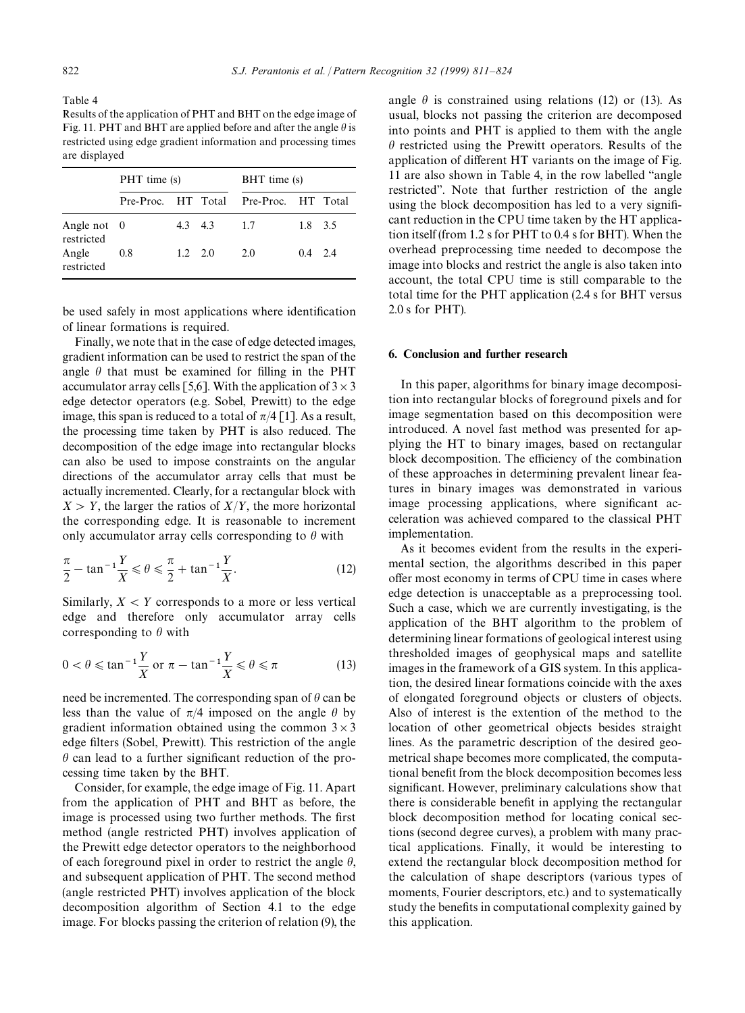Table 4

Results of the application of PHT and BHT on the edge image of Fig. 11. PHT and BHT are applied before and after the angle  $\theta$  is restricted using edge gradient information and processing times are displayed

|                             | PHT time (s) |                 |       | BHT time (s)                          |         |  |  |
|-----------------------------|--------------|-----------------|-------|---------------------------------------|---------|--|--|
|                             |              |                 |       | Pre-Proc. HT Total Pre-Proc. HT Total |         |  |  |
| Angle not $0$<br>restricted |              |                 | 43 43 | 1.7                                   | 1.8 3.5 |  |  |
| Angle<br>restricted         | 0.8          | $1.2 \quad 2.0$ |       | 2.0                                   | 0.4 2.4 |  |  |

be used safely in most applications where identification of linear formations is required.

Finally, we note that in the case of edge detected images, gradient information can be used to restrict the span of the angle  $\theta$  that must be examined for filling in the PHT accumulator array cells [5,6]. With the application of  $3 \times 3$ edge detector operators (e.g. Sobel, Prewitt) to the edge image, this span is reduced to a total of  $\pi/4$  [1]. As a result, the processing time taken by PHT is also reduced. The decomposition of the edge image into rectangular blocks can also be used to impose constraints on the angular directions of the accumulator array cells that must be actually incremented. Clearly, for a rectangular block with  $X > Y$ , the larger the ratios of  $X/Y$ , the more horizontal the corresponding edge. It is reasonable to increment only accumulator array cells corresponding to  $\theta$  with

$$
\frac{\pi}{2} - \tan^{-1} \frac{Y}{X} \le \theta \le \frac{\pi}{2} + \tan^{-1} \frac{Y}{X}.
$$
 (12)

Similarly,  $X \leq Y$  corresponds to a more or less vertical edge and therefore only accumulator array cells corresponding to  $\theta$  with

$$
0 < \theta \leq \tan^{-1} \frac{Y}{X} \text{ or } \pi - \tan^{-1} \frac{Y}{X} \leq \theta \leq \pi \tag{13}
$$

need be incremented. The corresponding span of  $\theta$  can be less than the value of  $\pi/4$  imposed on the angle  $\theta$  by gradient information obtained using the common  $3 \times 3$ edge filters (Sobel, Prewitt). This restriction of the angle  $\theta$  can lead to a further significant reduction of the processing time taken by the BHT.

Consider, for example, the edge image of Fig. 11. Apart from the application of PHT and BHT as before, the image is processed using two further methods. The first method (angle restricted PHT) involves application of the Prewitt edge detector operators to the neighborhood of each foreground pixel in order to restrict the angle  $\theta$ , and subsequent application of PHT. The second method (angle restricted PHT) involves application of the block decomposition algorithm of Section 4.1 to the edge image. For blocks passing the criterion of relation (9), the

angle  $\theta$  is constrained using relations (12) or (13). As usual, blocks not passing the criterion are decomposed into points and PHT is applied to them with the angle  $\theta$  restricted using the Prewitt operators. Results of the application of different HT variants on the image of Fig. 11 are also shown in Table 4, in the row labelled ''angle restricted''. Note that further restriction of the angle using the block decomposition has led to a very significant reduction in the CPU time taken by the HT application itself (from 1.2 s for PHT to 0.4 s for BHT). When the overhead preprocessing time needed to decompose the image into blocks and restrict the angle is also taken into account, the total CPU time is still comparable to the total time for the PHT application (2.4 s for BHT versus 2.0 s for PHT).

#### 6. Conclusion and further research

In this paper, algorithms for binary image decomposition into rectangular blocks of foreground pixels and for image segmentation based on this decomposition were introduced. A novel fast method was presented for applying the HT to binary images, based on rectangular block decomposition. The efficiency of the combination of these approaches in determining prevalent linear features in binary images was demonstrated in various image processing applications, where significant acceleration was achieved compared to the classical PHT implementation.

As it becomes evident from the results in the experimental section, the algorithms described in this paper offer most economy in terms of CPU time in cases where edge detection is unacceptable as a preprocessing tool. Such a case, which we are currently investigating, is the application of the BHT algorithm to the problem of determining linear formations of geological interest using thresholded images of geophysical maps and satellite images in the framework of a GIS system. In this application, the desired linear formations coincide with the axes of elongated foreground objects or clusters of objects. Also of interest is the extention of the method to the location of other geometrical objects besides straight lines. As the parametric description of the desired geometrical shape becomes more complicated, the computational benefit from the block decomposition becomes less significant. However, preliminary calculations show that there is considerable benefit in applying the rectangular block decomposition method for locating conical sections (second degree curves), a problem with many practical applications. Finally, it would be interesting to extend the rectangular block decomposition method for the calculation of shape descriptors (various types of moments, Fourier descriptors, etc.) and to systematically study the benefits in computational complexity gained by this application.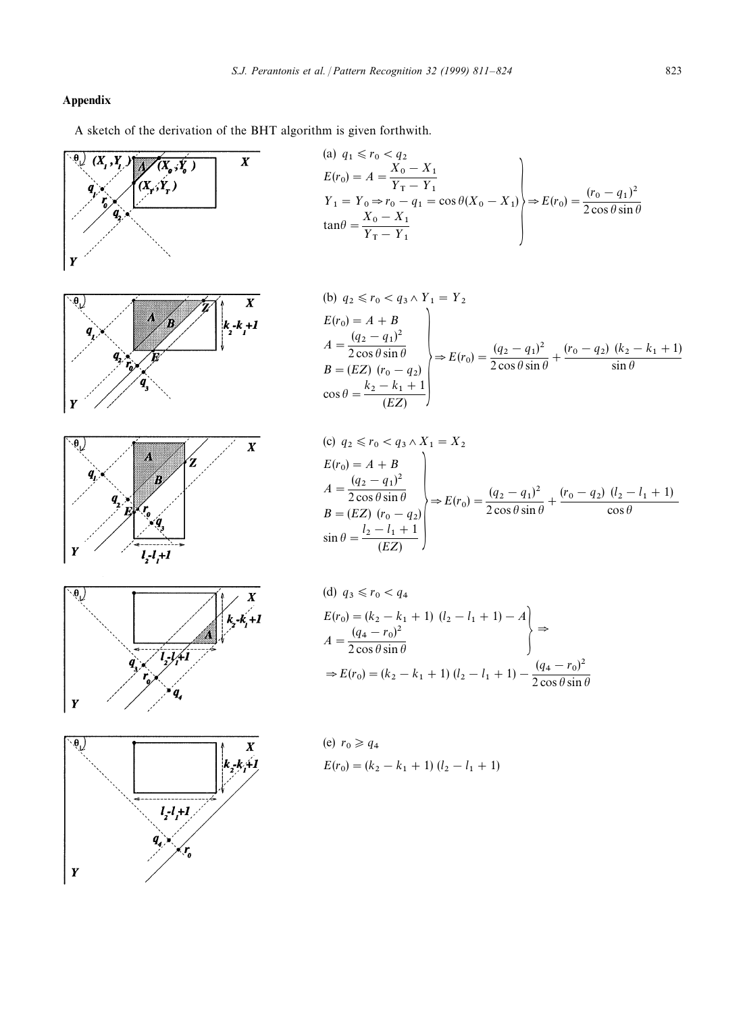# Appendix

A sketch of the derivation of the BHT algorithm is given forthwith.



(a) 
$$
q_1 \le r_0 < q_2
$$
  
\n $E(r_0) = A = \frac{X_0 - X_1}{Y_1 - Y_1}$   
\n $Y_1 = Y_0 \Rightarrow r_0 - q_1 = \cos \theta (X_0 - X_1)$   
\n $\tan \theta = \frac{X_0 - X_1}{Y_1 - Y_1}$   
\n $\left.\begin{matrix}\n\cos \theta & \sin \theta \\
\sin \theta & \sin \theta\n\end{matrix}\right\}$ 

(b) 
$$
q_2 \le r_0 < q_3 \wedge Y_1 = Y_2
$$
  
\n $E(r_0) = A + B$   
\n $A = \frac{(q_2 - q_1)^2}{2 \cos \theta \sin \theta}$   
\n $B = (EZ) (r_0 - q_2)$   
\n $\cos \theta = \frac{k_2 - k_1 + 1}{(EZ)}$ 

(c) 
$$
q_2 \le r_0 < q_3 \wedge X_1 = X_2
$$
  
\n $E(r_0) = A + B$   
\n $A = \frac{(q_2 - q_1)^2}{2 \cos \theta \sin \theta}$   
\n $B = (EZ) (r_0 - q_2)$   
\n $\sin \theta = \frac{l_2 - l_1 + 1}{(EZ)}$   
\n $\left.\begin{matrix} & & \\ \end{matrix}\right\}$   
\n $E(r_0) = \frac{(q_2 - q_1)^2}{2 \cos \theta \sin \theta} + \frac{(r_0 - q_2) (l_2 - l_1 + 1)}{\cos \theta}$ 

(d) 
$$
q_3 \le r_0 < q_4
$$
  
\n $E(r_0) = (k_2 - k_1 + 1) (l_2 - l_1 + 1) - A$   
\n $A = \frac{(q_4 - r_0)^2}{2 \cos \theta \sin \theta}$   
\n $\Rightarrow E(r_0) = (k_2 - k_1 + 1) (l_2 - l_1 + 1) - \frac{(q_4 - r_0)^2}{2 \cos \theta \sin \theta}$ 

(e) 
$$
r_0 \ge q_4
$$
  
\n $E(r_0) = (k_2 - k_1 + 1) (l_2 - l_1 + 1)$